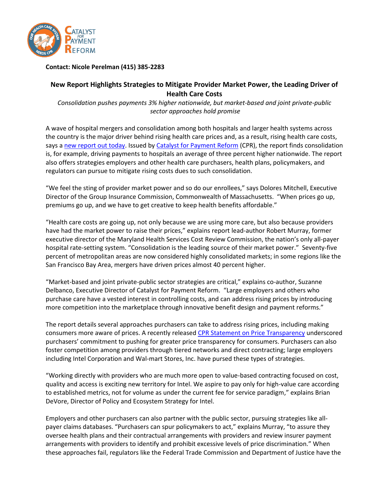

## **Contact: Nicole Perelman (415) 385-2283**

## **New Report Highlights Strategies to Mitigate Provider Market Power, the Leading Driver of Health Care Costs**

*Consolidation pushes payments 3% higher nationwide, but market-based and joint private-public sector approaches hold promise*

A wave of hospital mergers and consolidation among both hospitals and larger health systems across the country is the major driver behind rising health care prices and, as a result, rising health care costs, says a [new report out today.](http://catalyzepaymentreform.org/Market_Power.html) Issued by [Catalyst for Payment Reform](http://www.catalyzepaymentreform.org/) (CPR), the report finds consolidation is, for example, driving payments to hospitals an average of three percent higher nationwide. The report also offers strategies employers and other health care purchasers, health plans, policymakers, and regulators can pursue to mitigate rising costs dues to such consolidation.

"We feel the sting of provider market power and so do our enrollees," says Dolores Mitchell, Executive Director of the Group Insurance Commission, Commonwealth of Massachusetts. "When prices go up, premiums go up, and we have to get creative to keep health benefits affordable."

"Health care costs are going up, not only because we are using more care, but also because providers have had the market power to raise their prices," explains report lead-author Robert Murray, former executive director of the Maryland Health Services Cost Review Commission, the nation's only all-payer hospital rate-setting system. "Consolidation is the leading source of their market power." Seventy-five percent of metropolitan areas are now considered highly consolidated markets; in some regions like the San Francisco Bay Area, mergers have driven prices almost 40 percent higher.

"Market-based and joint private-public sector strategies are critical," explains co-author, Suzanne Delbanco, Executive Director of Catalyst for Payment Reform. "Large employers and others who purchase care have a vested interest in controlling costs, and can address rising prices by introducing more competition into the marketplace through innovative benefit design and payment reforms."

The report details several approaches purchasers can take to address rising prices, including making consumers more aware of prices. A recently release[d CPR Statement on Price Transparency](http://www.catalyzepaymentreform.org/Transparency_Statement.html) underscored purchasers' commitment to pushing for greater price transparency for consumers. Purchasers can also foster competition among providers through tiered networks and direct contracting; large employers including Intel Corporation and Wal-mart Stores, Inc. have pursed these types of strategies.

"Working directly with providers who are much more open to value-based contracting focused on cost, quality and access is exciting new territory for Intel. We aspire to pay only for high-value care according to established metrics, not for volume as under the current fee for service paradigm," explains Brian DeVore, Director of Policy and Ecosystem Strategy for Intel.

Employers and other purchasers can also partner with the public sector, pursuing strategies like allpayer claims databases. "Purchasers can spur policymakers to act," explains Murray, "to assure they oversee health plans and their contractual arrangements with providers and review insurer payment arrangements with providers to identify and prohibit excessive levels of price discrimination." When these approaches fail, regulators like the Federal Trade Commission and Department of Justice have the